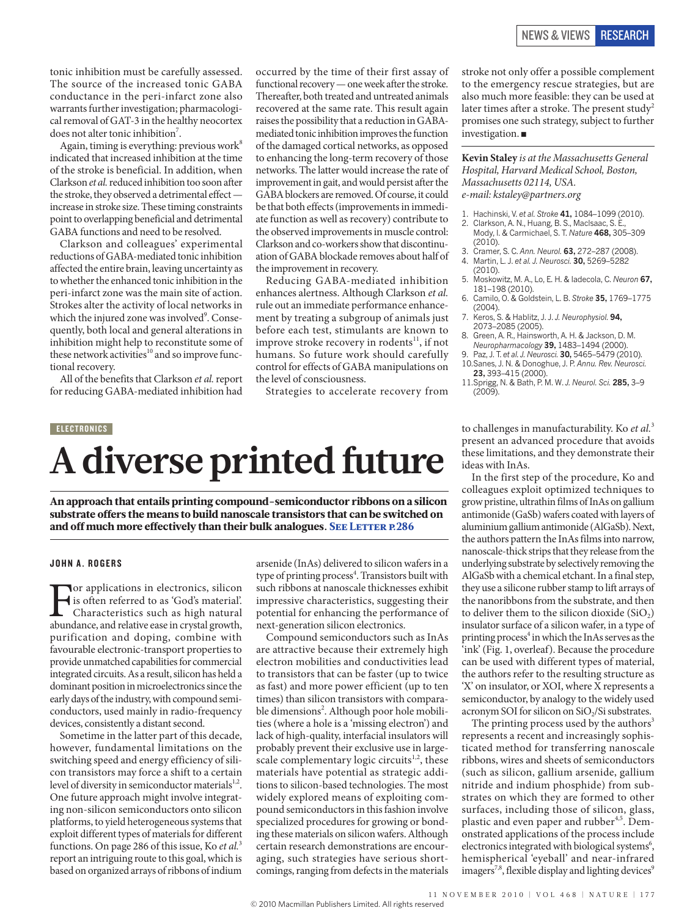tonic inhibition must be carefully assessed. The source of the increased tonic GABA conductance in the peri-infarct zone also warrants further investigation; pharmacological removal of GAT-3 in the healthy neocortex does not alter tonic inhibition<sup>7</sup>.

Again, timing is everything: previous work $8$ indicated that increased inhibition at the time of the stroke is beneficial. In addition, when Clarkson *et al.* reduced inhibition too soon after the stroke, they observed a detrimental effect increase in stroke size. These timing constraints point to overlapping beneficial and detrimental GABA functions and need to be resolved.

Clarkson and colleagues' experimental reductions of GABA-mediated tonic inhibition affected the entire brain, leaving uncertainty as to whether the enhanced tonic inhibition in the peri-infarct zone was the main site of action. Strokes alter the activity of local networks in which the injured zone was involved<sup>9</sup>. Consequently, both local and general alterations in inhibition might help to reconstitute some of these network activities $10$  and so improve functional recovery.

All of the benefits that Clarkson *et al.* report for reducing GABA-mediated inhibition had occurred by the time of their first assay of functional recovery — one week after the stroke. Thereafter, both treated and untreated animals recovered at the same rate. This result again raises the possibility that a reduction in GABAmediated tonic inhibition improves the function of the damaged cortical networks, as opposed to enhancing the long-term recovery of those networks. The latter would increase the rate of improvement in gait, and would persist after the GABA blockers are removed. Of course, it could be that both effects (improvements in immediate function as well as recovery) contribute to the observed improvements in muscle control: Clarkson and co-workers show that discontinuation of GABA blockade removes about half of the improvement in recovery.

Reducing GABA-mediated inhibition enhances alertness. Although Clarkson *et al.* rule out an immediate performance enhancement by treating a subgroup of animals just before each test, stimulants are known to improve stroke recovery in rodents<sup>11</sup>, if not humans. So future work should carefully control for effects of GABA manipulations on the level of consciousness.

Strategies to accelerate recovery from

### ELECTRONICS

# **A diverse printed future**

An approach that entails printing compound-semiconductor ribbons on a silicon substrate offers the means to build nanoscale transistors that can be switched on and off much more effectively than their bulk analogues. SEE LETTER P.286

#### JOHN A. ROGERS

For applications in electronics, silicon is often referred to as 'God's material'. Characteristics such as high natural abundance, and relative ease in crystal growth, purification and doping, combine with favourable electronic-transport properties to provide unmatched capabilities for commercial integrated circuits. As a result, silicon has held a dominant position in microelectronics since the early days of the industry, with compound semiconductors, used mainly in radio-frequency devices, consistently a distant second.

Sometime in the latter part of this decade, however, fundamental limitations on the switching speed and energy efficiency of silicon transistors may force a shift to a certain level of diversity in semiconductor materials $1,2$ . One future approach might involve integrating non-silicon semiconductors onto silicon platforms, to yield heterogeneous systems that exploit different types of materials for different functions. On page 286 of this issue, Ko *et al.*<sup>3</sup> report an intriguing route to this goal, which is based on organized arrays of ribbons of indium

arsenide (InAs) delivered to silicon wafers in a type of printing process<sup>4</sup>. Transistors built with such ribbons at nanoscale thicknesses exhibit impressive characteristics, suggesting their potential for enhancing the performance of next-generation silicon electronics.

Compound semiconductors such as InAs are attractive because their extremely high electron mobilities and conductivities lead to transistors that can be faster (up to twice as fast) and more power efficient (up to ten times) than silicon transistors with comparable dimensions<sup>2</sup>. Although poor hole mobilities (where a hole is a 'missing electron') and lack of high-quality, interfacial insulators will probably prevent their exclusive use in largescale complementary logic circuits $1,2$ , these materials have potential as strategic additions to silicon-based technologies. The most widely explored means of exploiting compound semiconductors in this fashion involve specialized procedures for growing or bonding these materials on silicon wafers. Although certain research demonstrations are encouraging, such strategies have serious shortcomings, ranging from defects in the materials stroke not only offer a possible complement to the emergency rescue strategies, but are also much more feasible: they can be used at later times after a stroke. The present study<sup>2</sup> promises one such strategy, subject to further investigation. ■

**Kevin Staley** *is at the Massachusetts General Hospital, Harvard Medical School, Boston, Massachusetts 02114, USA. e-mail: kstaley@partners.org*

- 1. Hachinski, V. *et al. Stroke* **41,** 1084–1099 (2010).
- 2. Clarkson, A. N., Huang, B. S., Maclsaac, S. E., Mody, I. & Carmichael, S. T. *Nature* **468,** 305–309  $(2010)$ .
- 3. Cramer, S. C. *Ann. Neurol.* **63,** 272–287 (2008). 4. Martin, L. J. *et al. J. Neurosci.* **30,** 5269–5282
- (2010). 5. Moskowitz, M. A., Lo, E. H. & Iadecola, C. *Neuron* **67,**
- 181–198 (2010). 6. Camilo, O. & Goldstein, L. B. *Stroke* **35,** 1769–1775
- (2004). 7. Keros, S. & Hablitz, J. J. *J. Neurophysiol.* **94,** 2073–2085 (2005).
- 8. Green, A. R., Hainsworth, A. H. & Jackson, D. M. *Neuropharmacology* **39,** 1483–1494 (2000).
- 9. Paz, J. T. *et al. J. Neurosci.* **30,** 5465–5479 (2010).
- 10.Sanes, J. N. & Donoghue, J. P. *Annu. Rev. Neurosci.* **23,** 393–415 (2000).
- 11.Sprigg, N. & Bath, P. M. W. *J. Neurol. Sci.* **285,** 3–9 (2009).

to challenges in manufacturability. Ko *et al.*<sup>3</sup> present an advanced procedure that avoids these limitations, and they demonstrate their ideas with InAs.

In the first step of the procedure, Ko and colleagues exploit optimized techniques to grow pristine, ultrathin films of InAs on gallium antimonide (GaSb) wafers coated with layers of aluminium gallium antimonide (AlGaSb). Next, the authors pattern the InAs films into narrow, nanoscale-thick strips that they release from the underlying substrate by selectively removing the AlGaSb with a chemical etchant. In a final step, they use a silicone rubber stamp to lift arrays of the nanoribbons from the substrate, and then to deliver them to the silicon dioxide  $(SiO<sub>2</sub>)$ insulator surface of a silicon wafer, in a type of printing process<sup>4</sup> in which the InAs serves as the 'ink' (Fig. 1, overleaf). Because the procedure can be used with different types of material, the authors refer to the resulting structure as 'X' on insulator, or XOI, where X represents a semiconductor, by analogy to the widely used acronym SOI for silicon on SiO<sub>2</sub>/Si substrates.

The printing process used by the authors $3$ represents a recent and increasingly sophisticated method for transferring nanoscale ribbons, wires and sheets of semiconductors (such as silicon, gallium arsenide, gallium nitride and indium phosphide) from substrates on which they are formed to other surfaces, including those of silicon, glass, plastic and even paper and rubber<sup>4,5</sup>. Demonstrated applications of the process include electronics integrated with biological systems<sup>6</sup>, hemispherical 'eyeball' and near-infrared imagers<sup>7,8</sup>, flexible display and lighting devices<sup>9</sup>

11 N OVE m b E R 2010 | VOL 468 | NATURE | 177